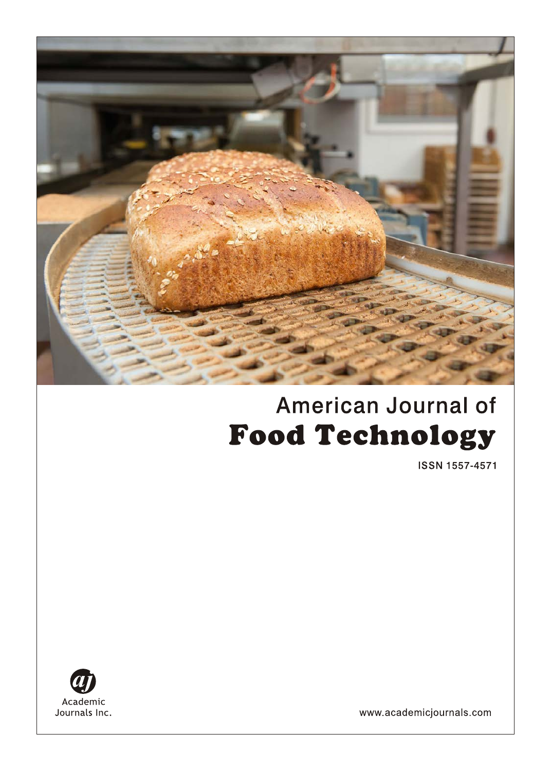

# **American Journal of Food Technology**

**ISSN 1557-4571** 



www.academicjournals.com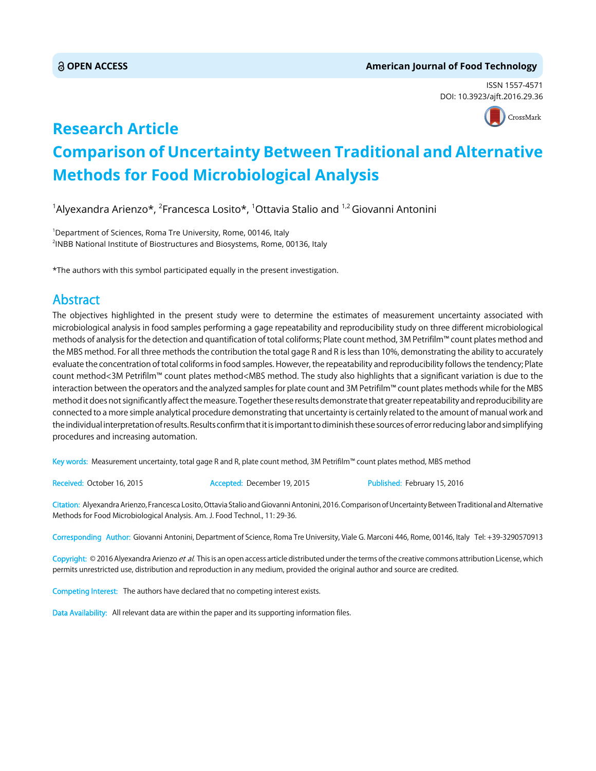#### **OPEN ACCESS American Journal of Food Technology**

ISSN 1557-4571 DOI: 10.3923/ajft.2016.29.36



# **Research Article Comparison of Uncertainty Between Traditional and Alternative Methods for Food Microbiological Analysis**

 $^{\text{\tiny{1}}}$ Alyexandra Arienzo\*,  $^{\text{\tiny{2}}}$ Francesca Losito\*,  $^{\text{\tiny{1}}}$ Ottavia Stalio and  $^{\text{\tiny{1,2}}}$ Giovanni Antonini

1 Department of Sciences, Roma Tre University, Rome, 00146, Italy 2 INBB National Institute of Biostructures and Biosystems, Rome, 00136, Italy

\*The authors with this symbol participated equally in the present investigation.

# Abstract

The objectives highlighted in the present study were to determine the estimates of measurement uncertainty associated with microbiological analysis in food samples performing a gage repeatability and reproducibility study on three different microbiological methods of analysis for the detection and quantification of total coliforms; Plate count method, 3M Petrifilm™ count plates method and the MBS method. For all three methods the contribution the total gage R and R is less than 10%, demonstrating the ability to accurately evaluate the concentration of total coliforms in food samples. However, the repeatability and reproducibility follows the tendency; Plate count method<3M Petrifilm™ count plates method<MBS method. The study also highlights that a significant variation is due to the interaction between the operators and the analyzed samples for plate count and 3M Petrifilm™ count plates methods while for the MBS method it does not significantly affect the measure. Together these results demonstrate that greater repeatability and reproducibility are connected to a more simple analytical procedure demonstrating that uncertainty is certainly related to the amount of manual work and the individual interpretation of results. Results confirm that it is important to diminish these sources of error reducing labor and simplifying procedures and increasing automation.

Key words: Measurement uncertainty, total gage R and R, plate count method, 3M Petrifilm™ count plates method, MBS method

Received: October 16, 2015 **Accepted: December 19, 2015** Published: February 15, 2016

Citation: Alyexandra Arienzo, Francesca Losito, Ottavia Stalio and Giovanni Antonini, 2016. Comparison of Uncertainty Between Traditional and Alternative Methods for Food Microbiological Analysis. Am. J. Food Technol., 11: 29-36.

Corresponding Author: Giovanni Antonini, Department of Science, Roma Tre University, Viale G. Marconi 446, Rome, 00146, Italy Tel: +39-3290570913

Copyright: © 2016 Alyexandra Arienzo et al. This is an open access article distributed under the terms of the creative commons attribution License, which permits unrestricted use, distribution and reproduction in any medium, provided the original author and source are credited.

Competing Interest: The authors have declared that no competing interest exists.

Data Availability: All relevant data are within the paper and its supporting information files.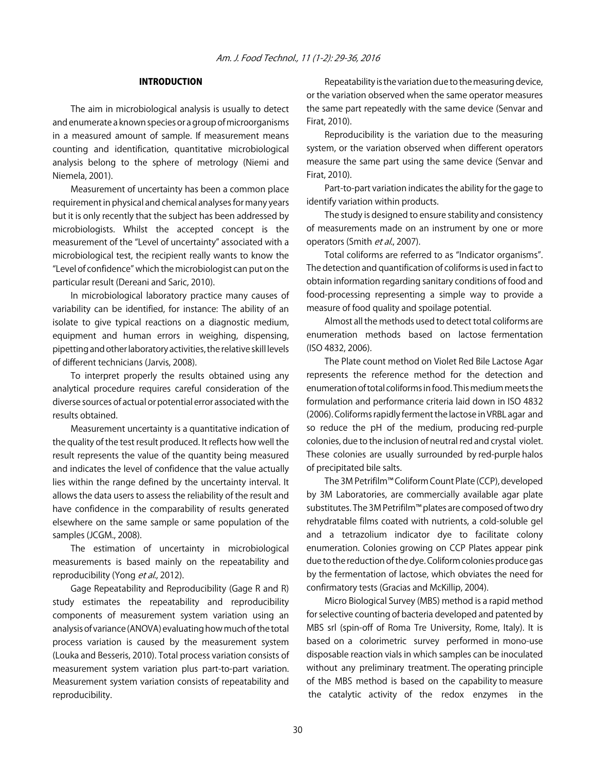## INTRODUCTION

The aim in microbiological analysis is usually to detect and enumerate a known species or a group of microorganisms in a measured amount of sample. If measurement means counting and identification, quantitative microbiological analysis belong to the sphere of metrology (Niemi and Niemela, 2001).

Measurement of uncertainty has been a common place requirement in physical and chemical analyses for many years but it is only recently that the subject has been addressed by microbiologists. Whilst the accepted concept is the measurement of the "Level of uncertainty" associated with a microbiological test, the recipient really wants to know the "Level of confidence" which the microbiologist can put on the particular result (Dereani and Saric, 2010).

In microbiological laboratory practice many causes of variability can be identified, for instance: The ability of an isolate to give typical reactions on a diagnostic medium, equipment and human errors in weighing, dispensing, pipetting and other laboratory activities, the relative skill levels of different technicians (Jarvis, 2008).

To interpret properly the results obtained using any analytical procedure requires careful consideration of the diverse sources of actual or potential error associated with the results obtained.

Measurement uncertainty is a quantitative indication of the quality of the test result produced. It reflects how well the result represents the value of the quantity being measured and indicates the level of confidence that the value actually lies within the range defined by the uncertainty interval. It allows the data users to assess the reliability of the result and have confidence in the comparability of results generated elsewhere on the same sample or same population of the samples (JCGM., 2008).

The estimation of uncertainty in microbiological measurements is based mainly on the repeatability and reproducibility (Yong et al., 2012).

Gage Repeatability and Reproducibility (Gage R and R) study estimates the repeatability and reproducibility components of measurement system variation using an analysis of variance (ANOVA) evaluating how much of the total process variation is caused by the measurement system (Louka and Besseris, 2010). Total process variation consists of measurement system variation plus part-to-part variation. Measurement system variation consists of repeatability and reproducibility.

Repeatability is the variation due to the measuring device, or the variation observed when the same operator measures the same part repeatedly with the same device (Senvar and Firat, 2010).

Reproducibility is the variation due to the measuring system, or the variation observed when different operators measure the same part using the same device (Senvar and Firat, 2010).

Part-to-part variation indicates the ability for the gage to identify variation within products.

The study is designed to ensure stability and consistency of measurements made on an instrument by one or more operators (Smith et al., 2007).

Total coliforms are referred to as "Indicator organisms". The detection and quantification of coliforms is used in fact to obtain information regarding sanitary conditions of food and food-processing representing a simple way to provide a measure of food quality and spoilage potential.

Almost all the methods used to detect total coliforms are enumeration methods based on lactose fermentation (ISO 4832, 2006).

The Plate count method on Violet Red Bile Lactose Agar represents the reference method for the detection and enumeration of total coliforms in food. This medium meets the formulation and performance criteria laid down in ISO 4832 (2006). Coliforms rapidly ferment the lactose in VRBL agar and so reduce the pH of the medium, producing red-purple colonies, due to the inclusion of neutral red and crystal violet. These colonies are usually surrounded by red-purple halos of precipitated bile salts.

The 3M Petrifilm™ Coliform Count Plate (CCP), developed by 3M Laboratories, are commercially available agar plate substitutes. The 3M Petrifilm™ plates are composed of two dry rehydratable films coated with nutrients, a cold-soluble gel and a tetrazolium indicator dye to facilitate colony enumeration. Colonies growing on CCP Plates appear pink due to the reduction of the dye. Coliform colonies produce gas by the fermentation of lactose, which obviates the need for confirmatory tests (Gracias and McKillip, 2004).

Micro Biological Survey (MBS) method is a rapid method for selective counting of bacteria developed and patented by MBS srl (spin-off of Roma Tre University, Rome, Italy). It is based on a colorimetric survey performed in mono-use disposable reaction vials in which samples can be inoculated without any preliminary treatment. The operating principle of the MBS method is based on the capability to measure the catalytic activity of the redox enzymes in the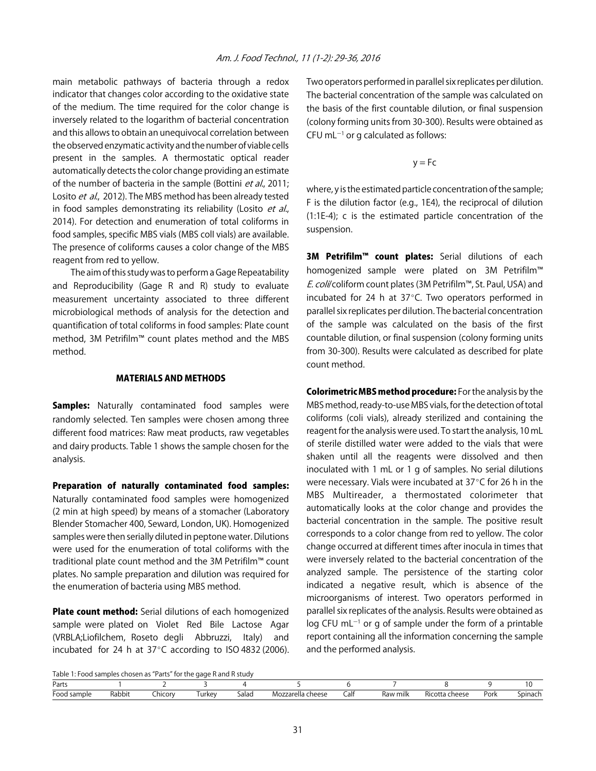main metabolic pathways of bacteria through a redox indicator that changes color according to the oxidative state of the medium. The time required for the color change is inversely related to the logarithm of bacterial concentration and this allows to obtain an unequivocal correlation between the observed enzymatic activity and the number of viable cells present in the samples. A thermostatic optical reader automatically detects the color change providing an estimate of the number of bacteria in the sample (Bottini et al., 2011; Losito et al., 2012). The MBS method has been already tested in food samples demonstrating its reliability (Losito et al., 2014). For detection and enumeration of total coliforms in food samples, specific MBS vials (MBS colI vials) are available. The presence of coliforms causes a color change of the MBS reagent from red to yellow.

The aim of this study was to perform a Gage Repeatability and Reproducibility (Gage R and R) study to evaluate measurement uncertainty associated to three different microbiological methods of analysis for the detection and quantification of total coliforms in food samples: Plate count method, 3M Petrifilm™ count plates method and the MBS method.

#### MATERIALS AND METHODS

**Samples:** Naturally contaminated food samples were randomly selected. Ten samples were chosen among three different food matrices: Raw meat products, raw vegetables and dairy products. Table 1 shows the sample chosen for the analysis.

Preparation of naturally contaminated food samples: Naturally contaminated food samples were homogenized (2 min at high speed) by means of a stomacher (Laboratory Blender Stomacher 400, Seward, London, UK). Homogenized samples were then serially diluted in peptone water. Dilutions were used for the enumeration of total coliforms with the traditional plate count method and the 3M Petrifilm™ count plates. No sample preparation and dilution was required for the enumeration of bacteria using MBS method.

Plate count method: Serial dilutions of each homogenized sample were plated on Violet Red Bile Lactose Agar (VRBLA;Liofilchem, Roseto degli Abbruzzi, Italy) and incubated for 24 h at  $37^{\circ}$ C according to ISO 4832 (2006). Two operators performed in parallel six replicates per dilution. The bacterial concentration of the sample was calculated on the basis of the first countable dilution, or final suspension (colony forming units from 30-300). Results were obtained as CFU mL $^{-1}$  or g calculated as follows:

$$
y = Fc
$$

where, y is the estimated particle concentration of the sample; F is the dilution factor (e.g., 1E4), the reciprocal of dilution (1:1E-4); c is the estimated particle concentration of the suspension.

3M Petrifilm<sup>™</sup> count plates: Serial dilutions of each homogenized sample were plated on 3M Petrifilm™ E. coli/coliform count plates (3M Petrifilm™, St. Paul, USA) and incubated for 24 h at  $37^{\circ}$ C. Two operators performed in parallel six replicates per dilution. The bacterial concentration of the sample was calculated on the basis of the first countable dilution, or final suspension (colony forming units from 30-300). Results were calculated as described for plate count method.

Colorimetric MBS method procedure: For the analysis by the MBS method, ready-to-use MBS vials, for the detection of total coliforms (coli vials), already sterilized and containing the reagent for the analysis were used. To start the analysis, 10 mL of sterile distilled water were added to the vials that were shaken until all the reagents were dissolved and then inoculated with 1 mL or 1 g of samples. No serial dilutions were necessary. Vials were incubated at 37 $\degree$ C for 26 h in the MBS Multireader, a thermostated colorimeter that automatically looks at the color change and provides the bacterial concentration in the sample. The positive result corresponds to a color change from red to yellow. The color change occurred at different times after inocula in times that were inversely related to the bacterial concentration of the analyzed sample. The persistence of the starting color indicated a negative result, which is absence of the microorganisms of interest. Two operators performed in parallel six replicates of the analysis. Results were obtained as  $log$  CFU mL $^{-1}$  or g of sample under the form of a printable report containing all the information concerning the sample and the performed analysis.

```
Table 1: Food samples chosen as "Parts" for the gage R and R study
```

|                       |             |        | .                 |            |                             |             |             |                   |               |      |
|-----------------------|-------------|--------|-------------------|------------|-----------------------------|-------------|-------------|-------------------|---------------|------|
| Parts                 |             |        |                   |            |                             |             |             |                   |               |      |
| $-$<br>Foor<br>sample | Rabbit<br>. | _hicon | urke <sup>.</sup> | Salac<br>. | chooce<br>rella.<br>MO<br>. | Calf<br>___ | milk<br>ndv | 0.000<br>Кıс<br>. | リヘレ<br>- UI K | насі |
|                       |             |        |                   |            |                             |             |             |                   |               |      |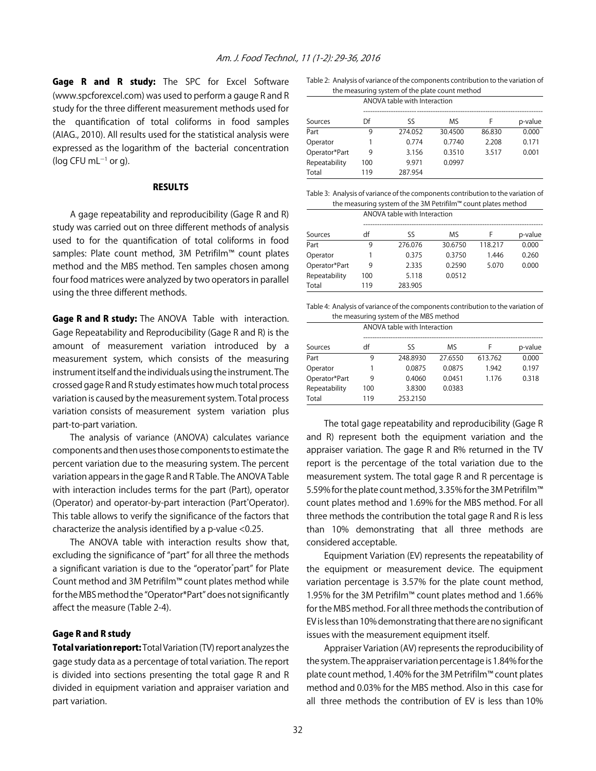Gage R and R study: The SPC for Excel Software (www.spcforexcel.com) was used to perform a gauge R and R study for the three different measurement methods used for the quantification of total coliforms in food samples (AIAG., 2010). All results used for the statistical analysis were expressed as the logarithm of the bacterial concentration (log CFU mL $^{-1}$  or g).

#### **RESULTS**

A gage repeatability and reproducibility (Gage R and R) study was carried out on three different methods of analysis used to for the quantification of total coliforms in food samples: Plate count method, 3M Petrifilm™ count plates method and the MBS method. Ten samples chosen among four food matrices were analyzed by two operators in parallel using the three different methods.

Gage R and R study: The ANOVA Table with interaction. Gage Repeatability and Reproducibility (Gage R and R) is the amount of measurement variation introduced by a measurement system, which consists of the measuring instrument itself and the individuals using the instrument. The crossed gage R and R study estimates how much total process variation is caused by the measurement system. Total process variation consists of measurement system variation plus part-to-part variation.

The analysis of variance (ANOVA) calculates variance components and then uses those components to estimate the percent variation due to the measuring system. The percent variation appears in the gage R and R Table. The ANOVA Table with interaction includes terms for the part (Part), operator (Operator) and operator-by-part interaction (Part\* Operator). This table allows to verify the significance of the factors that characterize the analysis identified by a p-value <0.25.

The ANOVA table with interaction results show that, excluding the significance of "part" for all three the methods a significant variation is due to the "operator\* part" for Plate Count method and 3M Petrifilm™ count plates method while for the MBS method the "Operator\*Part" does not significantly affect the measure (Table 2-4).

#### Gage R and R study

Total variation report: Total Variation (TV) report analyzes the gage study data as a percentage of total variation. The report is divided into sections presenting the total gage R and R divided in equipment variation and appraiser variation and part variation.

Table 2: Analysis of variance of the components contribution to the variation of the measuring system of the plate count method

|               | ANOVA table with Interaction |         |         |        |         |  |  |
|---------------|------------------------------|---------|---------|--------|---------|--|--|
| Sources       | Df                           | Sς      | ΜS      | F      | p-value |  |  |
| Part          | 9                            | 274.052 | 30.4500 | 86.830 | 0.000   |  |  |
| Operator      |                              | 0.774   | 0.7740  | 2.208  | 0.171   |  |  |
| Operator*Part | 9                            | 3.156   | 0.3510  | 3.517  | 0.001   |  |  |
| Repeatability | 100                          | 9.971   | 0.0997  |        |         |  |  |
| Total         | 119                          | 287.954 |         |        |         |  |  |

Table 3: Analysis of variance of the components contribution to the variation of the measuring system of the 3M Petrifilm™ count plates method

|               | ANOVA table with Interaction |         |         |         |         |
|---------------|------------------------------|---------|---------|---------|---------|
| Sources       | df                           | ςς      | M۹      | F       | p-value |
| Part          | 9                            | 276.076 | 30.6750 | 118.217 | 0.000   |
| Operator      |                              | 0.375   | 0.3750  | 1.446   | 0.260   |
| Operator*Part | 9                            | 2.335   | 0.2590  | 5.070   | 0.000   |
| Repeatability | 100                          | 5.118   | 0.0512  |         |         |
| Total         | 119                          | 283.905 |         |         |         |

Table 4: Analysis of variance of the components contribution to the variation of the measuring system of the MBS method

|               | ANOVA table with Interaction |          |         |         |         |  |
|---------------|------------------------------|----------|---------|---------|---------|--|
| Sources       | df                           | SS       | ΜS      | F       | p-value |  |
| Part          | 9                            | 248.8930 | 27.6550 | 613.762 | 0.000   |  |
| Operator      |                              | 0.0875   | 0.0875  | 1.942   | 0.197   |  |
| Operator*Part | 9                            | 0.4060   | 0.0451  | 1.176   | 0.318   |  |
| Repeatability | 100                          | 3.8300   | 0.0383  |         |         |  |
| Total         | 119                          | 253.2150 |         |         |         |  |

The total gage repeatability and reproducibility (Gage R and R) represent both the equipment variation and the appraiser variation. The gage R and R% returned in the TV report is the percentage of the total variation due to the measurement system. The total gage R and R percentage is 5.59% for the plate count method, 3.35% for the 3M Petrifilm™ count plates method and 1.69% for the MBS method. For all three methods the contribution the total gage R and R is less than 10% demonstrating that all three methods are considered acceptable.

Equipment Variation (EV) represents the repeatability of the equipment or measurement device. The equipment variation percentage is 3.57% for the plate count method, 1.95% for the 3M Petrifilm™ count plates method and 1.66% for the MBS method. For all three methods the contribution of EV is less than 10% demonstrating that there are no significant issues with the measurement equipment itself.

Appraiser Variation (AV) represents the reproducibility of the system. The appraiser variation percentage is 1.84% for the plate count method, 1.40% for the 3M Petrifilm™ count plates method and 0.03% for the MBS method. Also in this case for all three methods the contribution of EV is less than 10%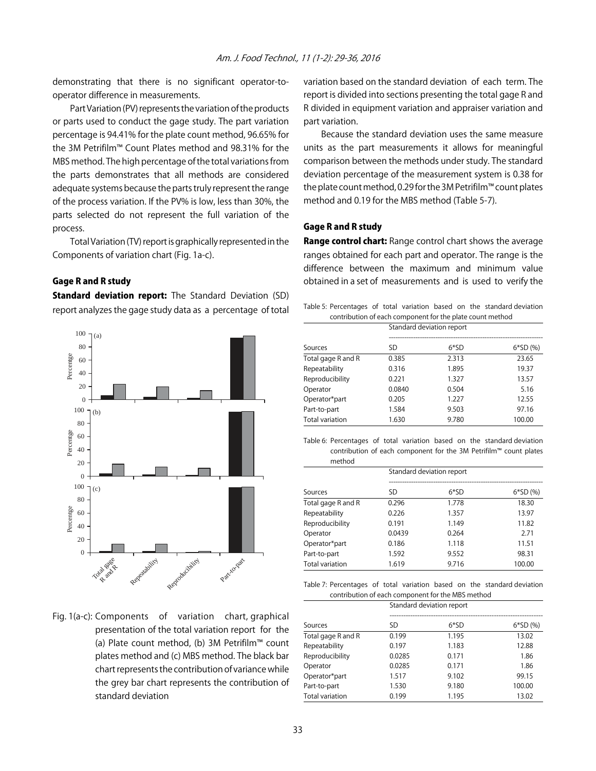demonstrating that there is no significant operator-tooperator difference in measurements.

Part Variation (PV) represents the variation of the products or parts used to conduct the gage study. The part variation percentage is 94.41% for the plate count method, 96.65% for the 3M Petrifilm™ Count Plates method and 98.31% for the MBS method. The high percentage of the total variations from the parts demonstrates that all methods are considered adequate systems because the parts truly represent the range of the process variation. If the PV% is low, less than 30%, the parts selected do not represent the full variation of the process.

Total Variation (TV) report is graphically represented in the Components of variation chart (Fig. 1a-c).

# Gage R and R study

**Standard deviation report:** The Standard Deviation (SD) report analyzes the gage study data as a percentage of total



Fig. 1(a-c): Components of variation chart, graphical presentation of the total variation report for the (a) Plate count method, (b) 3M Petrifilm™ count plates method and (c) MBS method. The black bar chart represents the contribution of variance while the grey bar chart represents the contribution of standard deviation

variation based on the standard deviation of each term. The report is divided into sections presenting the total gage R and R divided in equipment variation and appraiser variation and part variation.

Because the standard deviation uses the same measure units as the part measurements it allows for meaningful comparison between the methods under study. The standard deviation percentage of the measurement system is 0.38 for the plate count method, 0.29 for the 3M Petrifilm™ count plates method and 0.19 for the MBS method (Table 5-7).

## Gage R and R study

Range control chart: Range control chart shows the average ranges obtained for each part and operator. The range is the difference between the maximum and minimum value obtained in a set of measurements and is used to verify the

Table 5: Percentages of total variation based on the standard deviation contribution of each component for the plate count method

|                    | Standard deviation report |       |           |  |
|--------------------|---------------------------|-------|-----------|--|
| Sources            | SD                        | 6*SD  | $6*SD(%)$ |  |
| Total gage R and R | 0.385                     | 2.313 | 23.65     |  |
| Repeatability      | 0.316                     | 1.895 | 19.37     |  |
| Reproducibility    | 0.221                     | 1.327 | 13.57     |  |
| Operator           | 0.0840                    | 0.504 | 5.16      |  |
| Operator*part      | 0.205                     | 1.227 | 12.55     |  |
| Part-to-part       | 1.584                     | 9.503 | 97.16     |  |
| Total variation    | 1.630                     | 9.780 | 100.00    |  |

Table 6: Percentages of total variation based on the standard deviation contribution of each component for the 3M Petrifilm™ count plates method

|                    | Standard deviation report |        |           |  |  |
|--------------------|---------------------------|--------|-----------|--|--|
| Sources            | SD                        | $6*SD$ | $6*SD(%)$ |  |  |
| Total gage R and R | 0.296                     | 1.778  | 18.30     |  |  |
| Repeatability      | 0.226                     | 1.357  | 13.97     |  |  |
| Reproducibility    | 0.191                     | 1.149  | 11.82     |  |  |
| Operator           | 0.0439                    | 0.264  | 2.71      |  |  |
| Operator*part      | 0.186                     | 1.118  | 11.51     |  |  |
| Part-to-part       | 1.592                     | 9.552  | 98.31     |  |  |
| Total variation    | 1.619                     | 9.716  | 100.00    |  |  |

Table 7: Percentages of total variation based on the standard deviation contribution of each component for the MBS method

|                        | Standard deviation report |       |           |  |  |
|------------------------|---------------------------|-------|-----------|--|--|
|                        |                           |       |           |  |  |
| Sources                | SD                        | 6*SD  | $6*SD(%)$ |  |  |
| Total gage R and R     | 0.199                     | 1.195 | 13.02     |  |  |
| Repeatability          | 0.197                     | 1.183 | 12.88     |  |  |
| Reproducibility        | 0.0285                    | 0.171 | 1.86      |  |  |
| Operator               | 0.0285                    | 0.171 | 1.86      |  |  |
| Operator*part          | 1.517                     | 9.102 | 99.15     |  |  |
| Part-to-part           | 1.530                     | 9.180 | 100.00    |  |  |
| <b>Total variation</b> | 0.199                     | 1.195 | 13.02     |  |  |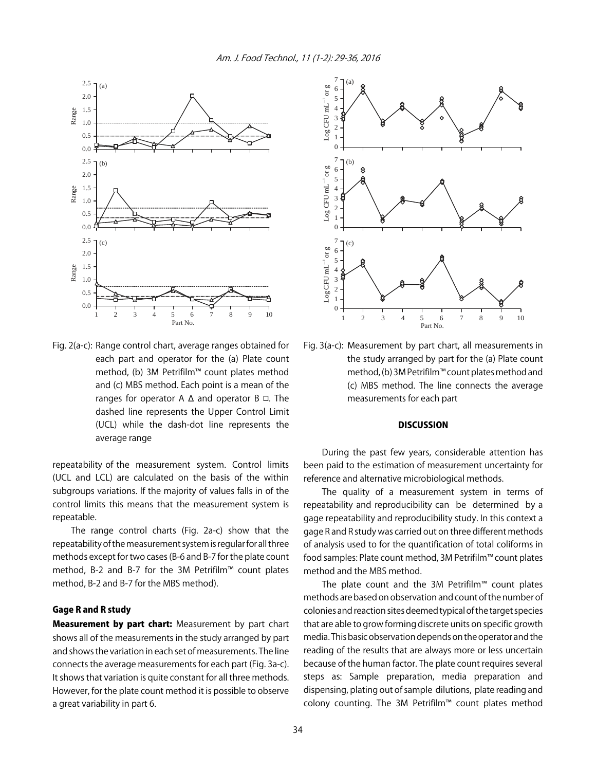

Fig. 2(a-c): Range control chart, average ranges obtained for each part and operator for the (a) Plate count method, (b) 3M Petrifilm™ count plates method and (c) MBS method. Each point is a mean of the ranges for operator A  $\Delta$  and operator B  $\Box$ . The dashed line represents the Upper Control Limit (UCL) while the dash-dot line represents the average range

repeatability of the measurement system. Control limits (UCL and LCL) are calculated on the basis of the within subgroups variations. If the majority of values falls in of the control limits this means that the measurement system is repeatable.

The range control charts (Fig. 2a-c) show that the repeatability of the measurement system is regular for all three methods except for two cases (B-6 and B-7 for the plate count method, B-2 and B-7 for the 3M Petrifilm™ count plates method, B-2 and B-7 for the MBS method).

## Gage R and R study

**Measurement by part chart:** Measurement by part chart shows all of the measurements in the study arranged by part and shows the variation in each set of measurements. The line connects the average measurements for each part (Fig. 3a-c). It shows that variation is quite constant for all three methods. However, for the plate count method it is possible to observe a great variability in part 6.



Fig. 3(a-c): Measurement by part chart, all measurements in the study arranged by part for the (a) Plate count method, (b) 3M Petrifilm™ count plates method and (c) MBS method. The line connects the average measurements for each part

# **DISCUSSION**

During the past few years, considerable attention has been paid to the estimation of measurement uncertainty for reference and alternative microbiological methods.

The quality of a measurement system in terms of repeatability and reproducibility can be determined by a gage repeatability and reproducibility study. In this context a gage R and R study was carried out on three different methods of analysis used to for the quantification of total coliforms in food samples: Plate count method, 3M Petrifilm™ count plates method and the MBS method.

The plate count and the 3M Petrifilm™ count plates methods are based on observation and count of the number of colonies and reaction sites deemed typical of the target species that are able to grow forming discrete units on specific growth media. This basic observation depends on the operator and the reading of the results that are always more or less uncertain because of the human factor. The plate count requires several steps as: Sample preparation, media preparation and dispensing, plating out of sample dilutions, plate reading and colony counting. The 3M Petrifilm™ count plates method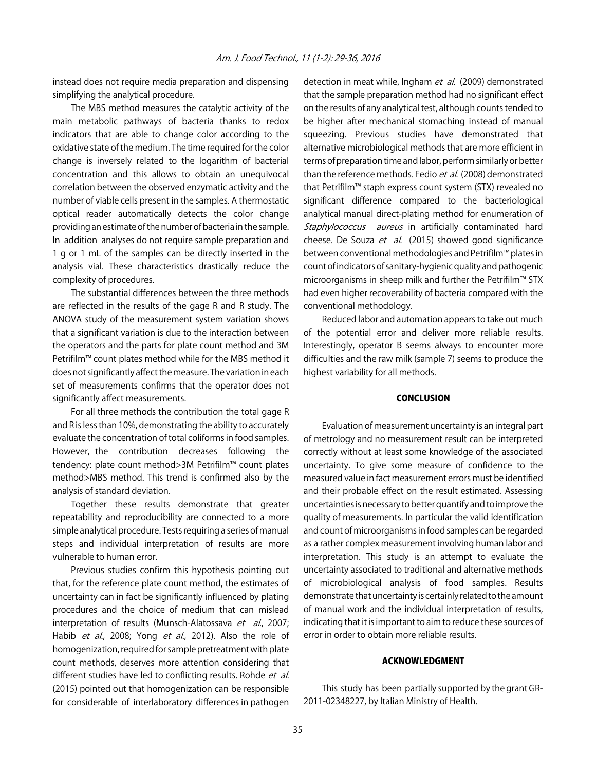instead does not require media preparation and dispensing simplifying the analytical procedure.

The MBS method measures the catalytic activity of the main metabolic pathways of bacteria thanks to redox indicators that are able to change color according to the oxidative state of the medium. The time required for the color change is inversely related to the logarithm of bacterial concentration and this allows to obtain an unequivocal correlation between the observed enzymatic activity and the number of viable cells present in the samples. A thermostatic optical reader automatically detects the color change providing an estimate of the number of bacteria in the sample. In addition analyses do not require sample preparation and 1 g or 1 mL of the samples can be directly inserted in the analysis vial. These characteristics drastically reduce the complexity of procedures.

The substantial differences between the three methods are reflected in the results of the gage R and R study. The ANOVA study of the measurement system variation shows that a significant variation is due to the interaction between the operators and the parts for plate count method and 3M Petrifilm™ count plates method while for the MBS method it does not significantly affect the measure. The variation in each set of measurements confirms that the operator does not significantly affect measurements.

For all three methods the contribution the total gage R and R is less than 10%, demonstrating the ability to accurately evaluate the concentration of total coliforms in food samples. However, the contribution decreases following the tendency: plate count method>3M Petrifilm™ count plates method>MBS method. This trend is confirmed also by the analysis of standard deviation.

Together these results demonstrate that greater repeatability and reproducibility are connected to a more simple analytical procedure. Tests requiring a series of manual steps and individual interpretation of results are more vulnerable to human error.

Previous studies confirm this hypothesis pointing out that, for the reference plate count method, the estimates of uncertainty can in fact be significantly influenced by plating procedures and the choice of medium that can mislead interpretation of results (Munsch-Alatossava et al., 2007; Habib et al., 2008; Yong et al., 2012). Also the role of homogenization, required for sample pretreatment with plate count methods, deserves more attention considering that different studies have led to conflicting results. Rohde et al. (2015) pointed out that homogenization can be responsible for considerable of interlaboratory differences in pathogen

detection in meat while, Ingham et al. (2009) demonstrated that the sample preparation method had no significant effect on the results of any analytical test, although counts tended to be higher after mechanical stomaching instead of manual squeezing. Previous studies have demonstrated that alternative microbiological methods that are more efficient in terms of preparation time and labor, perform similarly or better than the reference methods. Fedio et al. (2008) demonstrated that Petrifilm™ staph express count system (STX) revealed no significant difference compared to the bacteriological analytical manual direct-plating method for enumeration of Staphylococcus aureus in artificially contaminated hard cheese. De Souza et al. (2015) showed good significance between conventional methodologies and Petrifilm™ plates in count of indicators of sanitary-hygienic quality and pathogenic microorganisms in sheep milk and further the Petrifilm™ STX had even higher recoverability of bacteria compared with the conventional methodology.

Reduced labor and automation appears to take out much of the potential error and deliver more reliable results. Interestingly, operator B seems always to encounter more difficulties and the raw milk (sample 7) seems to produce the highest variability for all methods.

#### **CONCLUSION**

Evaluation of measurement uncertainty is an integral part of metrology and no measurement result can be interpreted correctly without at least some knowledge of the associated uncertainty. To give some measure of confidence to the measured value in fact measurement errors must be identified and their probable effect on the result estimated. Assessing uncertainties is necessary to better quantify and to improve the quality of measurements. In particular the valid identification and count of microorganisms in food samples can be regarded as a rather complex measurement involving human labor and interpretation. This study is an attempt to evaluate the uncertainty associated to traditional and alternative methods of microbiological analysis of food samples. Results demonstrate that uncertainty is certainly related to the amount of manual work and the individual interpretation of results, indicating that it is important to aim to reduce these sources of error in order to obtain more reliable results.

#### ACKNOWLEDGMENT

This study has been partially supported by the grant GR-2011-02348227, by Italian Ministry of Health.